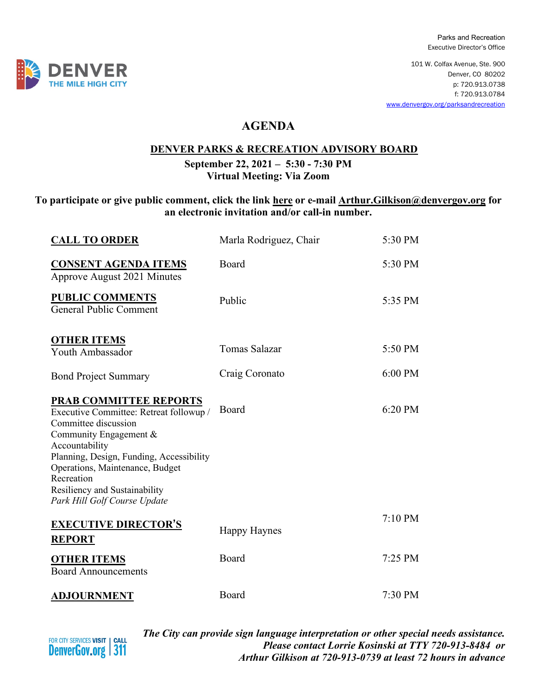Parks and Recreation Executive Director's Office

101 W. Colfax Avenue, Ste. 900 Denver, CO 80202 p: 720.913.0738 f: 720.913.0784 [www.denvergov.org/parksandrecreation](http://www.denvergov.org/parksandrecreation)

## **AGENDA**

## **DENVER PARKS & RECREATION ADVISORY BOARD**

**September 22, 2021 – 5:30 - 7:30 PM Virtual Meeting: Via Zoom**

## **To participate or give public comment, click the link [here](https://denvergov.webex.com/denvergov/onstage/g.php?MTID=eb3f7743f4ea79efa3968fbb647afc0ba) or e-mail [Arthur.Gilkison@denvergov.org](mailto:Arthur.Gilkison@denvergov.org) for an electronic invitation and/or call-in number.**

| <b>CALL TO ORDER</b>                                                                                                                                                                                                                                                                                       | Marla Rodriguez, Chair | 5:30 PM |
|------------------------------------------------------------------------------------------------------------------------------------------------------------------------------------------------------------------------------------------------------------------------------------------------------------|------------------------|---------|
| <b>CONSENT AGENDA ITEMS</b><br>Approve August 2021 Minutes                                                                                                                                                                                                                                                 | Board                  | 5:30 PM |
| <b>PUBLIC COMMENTS</b><br><b>General Public Comment</b>                                                                                                                                                                                                                                                    | Public                 | 5:35 PM |
| <b>OTHER ITEMS</b><br>Youth Ambassador                                                                                                                                                                                                                                                                     | Tomas Salazar          | 5:50 PM |
| <b>Bond Project Summary</b>                                                                                                                                                                                                                                                                                | Craig Coronato         | 6:00 PM |
| <b>PRAB COMMITTEE REPORTS</b><br>Executive Committee: Retreat followup /<br>Committee discussion<br>Community Engagement &<br>Accountability<br>Planning, Design, Funding, Accessibility<br>Operations, Maintenance, Budget<br>Recreation<br>Resiliency and Sustainability<br>Park Hill Golf Course Update | Board                  | 6:20 PM |
| <b>EXECUTIVE DIRECTOR'S</b><br><b>REPORT</b>                                                                                                                                                                                                                                                               | <b>Happy Haynes</b>    | 7:10 PM |
| <b>OTHER ITEMS</b><br><b>Board Announcements</b>                                                                                                                                                                                                                                                           | Board                  | 7:25 PM |
| <b>ADJOURNMENT</b>                                                                                                                                                                                                                                                                                         | Board                  | 7:30 PM |



*The City can provide sign language interpretation or other special needs assistance. Please contact Lorrie Kosinski at TTY 720-913-8484 or Arthur Gilkison at 720-913-0739 at least 72 hours in advance*